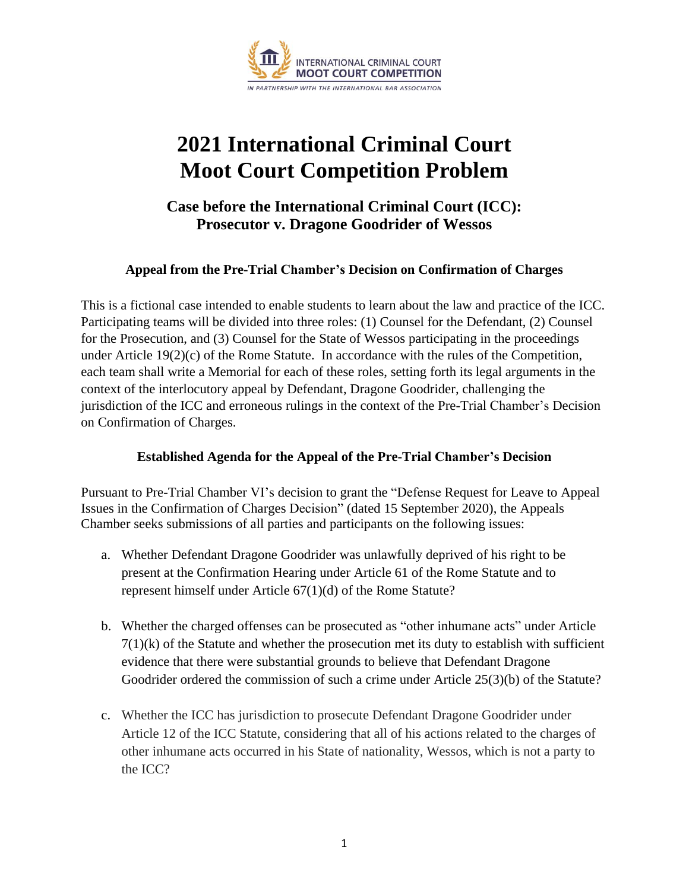

# **2021 International Criminal Court Moot Court Competition Problem**

## **Case before the International Criminal Court (ICC): Prosecutor v. Dragone Goodrider of Wessos**

#### **Appeal from the Pre-Trial Chamber's Decision on Confirmation of Charges**

This is a fictional case intended to enable students to learn about the law and practice of the ICC. Participating teams will be divided into three roles: (1) Counsel for the Defendant, (2) Counsel for the Prosecution, and (3) Counsel for the State of Wessos participating in the proceedings under Article 19(2)(c) of the Rome Statute. In accordance with the rules of the Competition, each team shall write a Memorial for each of these roles, setting forth its legal arguments in the context of the interlocutory appeal by Defendant, Dragone Goodrider, challenging the jurisdiction of the ICC and erroneous rulings in the context of the Pre-Trial Chamber's Decision on Confirmation of Charges.

#### **Established Agenda for the Appeal of the Pre-Trial Chamber's Decision**

Pursuant to Pre-Trial Chamber VI's decision to grant the "Defense Request for Leave to Appeal Issues in the Confirmation of Charges Decision" (dated 15 September 2020), the Appeals Chamber seeks submissions of all parties and participants on the following issues:

- a. Whether Defendant Dragone Goodrider was unlawfully deprived of his right to be present at the Confirmation Hearing under Article 61 of the Rome Statute and to represent himself under Article 67(1)(d) of the Rome Statute?
- b. Whether the charged offenses can be prosecuted as "other inhumane acts" under Article  $7(1)(k)$  of the Statute and whether the prosecution met its duty to establish with sufficient evidence that there were substantial grounds to believe that Defendant Dragone Goodrider ordered the commission of such a crime under Article 25(3)(b) of the Statute?
- c. Whether the ICC has jurisdiction to prosecute Defendant Dragone Goodrider under Article 12 of the ICC Statute, considering that all of his actions related to the charges of other inhumane acts occurred in his State of nationality, Wessos, which is not a party to the ICC?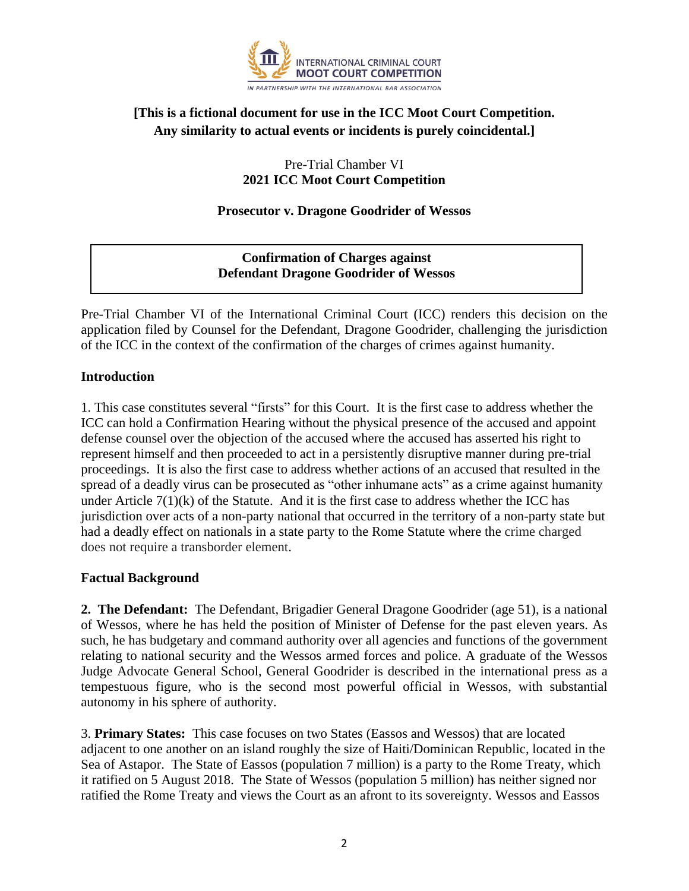

### **[This is a fictional document for use in the ICC Moot Court Competition. Any similarity to actual events or incidents is purely coincidental.]**

Pre-Trial Chamber VI **2021 ICC Moot Court Competition**

#### **Prosecutor v. Dragone Goodrider of Wessos**

#### **Confirmation of Charges against Defendant Dragone Goodrider of Wessos**

Pre-Trial Chamber VI of the International Criminal Court (ICC) renders this decision on the application filed by Counsel for the Defendant, Dragone Goodrider, challenging the jurisdiction of the ICC in the context of the confirmation of the charges of crimes against humanity.

#### **Introduction**

1. This case constitutes several "firsts" for this Court. It is the first case to address whether the ICC can hold a Confirmation Hearing without the physical presence of the accused and appoint defense counsel over the objection of the accused where the accused has asserted his right to represent himself and then proceeded to act in a persistently disruptive manner during pre-trial proceedings. It is also the first case to address whether actions of an accused that resulted in the spread of a deadly virus can be prosecuted as "other inhumane acts" as a crime against humanity under Article  $7(1)(k)$  of the Statute. And it is the first case to address whether the ICC has jurisdiction over acts of a non-party national that occurred in the territory of a non-party state but had a deadly effect on nationals in a state party to the Rome Statute where the crime charged does not require a transborder element.

#### **Factual Background**

**2. The Defendant:** The Defendant, Brigadier General Dragone Goodrider (age 51), is a national of Wessos, where he has held the position of Minister of Defense for the past eleven years. As such, he has budgetary and command authority over all agencies and functions of the government relating to national security and the Wessos armed forces and police. A graduate of the Wessos Judge Advocate General School, General Goodrider is described in the international press as a tempestuous figure, who is the second most powerful official in Wessos, with substantial autonomy in his sphere of authority.

3. **Primary States:** This case focuses on two States (Eassos and Wessos) that are located adjacent to one another on an island roughly the size of Haiti/Dominican Republic, located in the Sea of Astapor. The State of Eassos (population 7 million) is a party to the Rome Treaty, which it ratified on 5 August 2018. The State of Wessos (population 5 million) has neither signed nor ratified the Rome Treaty and views the Court as an afront to its sovereignty. Wessos and Eassos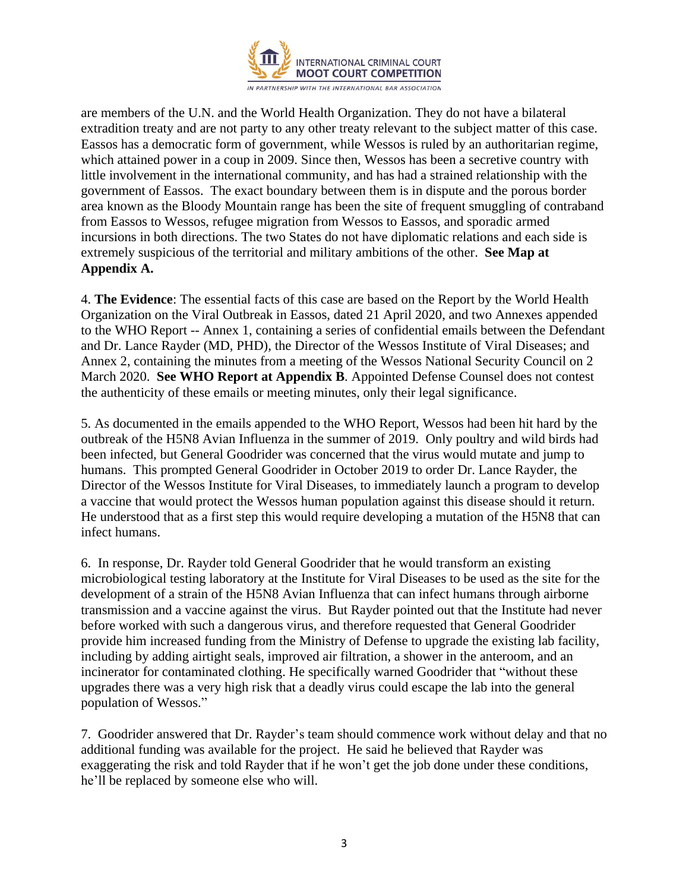

are members of the U.N. and the World Health Organization. They do not have a bilateral extradition treaty and are not party to any other treaty relevant to the subject matter of this case. Eassos has a democratic form of government, while Wessos is ruled by an authoritarian regime, which attained power in a coup in 2009. Since then, Wessos has been a secretive country with little involvement in the international community, and has had a strained relationship with the government of Eassos. The exact boundary between them is in dispute and the porous border area known as the Bloody Mountain range has been the site of frequent smuggling of contraband from Eassos to Wessos, refugee migration from Wessos to Eassos, and sporadic armed incursions in both directions. The two States do not have diplomatic relations and each side is extremely suspicious of the territorial and military ambitions of the other. **See Map at Appendix A.**

4. **The Evidence**: The essential facts of this case are based on the Report by the World Health Organization on the Viral Outbreak in Eassos, dated 21 April 2020, and two Annexes appended to the WHO Report -- Annex 1, containing a series of confidential emails between the Defendant and Dr. Lance Rayder (MD, PHD), the Director of the Wessos Institute of Viral Diseases; and Annex 2, containing the minutes from a meeting of the Wessos National Security Council on 2 March 2020. **See WHO Report at Appendix B**. Appointed Defense Counsel does not contest the authenticity of these emails or meeting minutes, only their legal significance.

5. As documented in the emails appended to the WHO Report, Wessos had been hit hard by the outbreak of the H5N8 Avian Influenza in the summer of 2019. Only poultry and wild birds had been infected, but General Goodrider was concerned that the virus would mutate and jump to humans. This prompted General Goodrider in October 2019 to order Dr. Lance Rayder, the Director of the Wessos Institute for Viral Diseases, to immediately launch a program to develop a vaccine that would protect the Wessos human population against this disease should it return. He understood that as a first step this would require developing a mutation of the H5N8 that can infect humans.

6. In response, Dr. Rayder told General Goodrider that he would transform an existing microbiological testing laboratory at the Institute for Viral Diseases to be used as the site for the development of a strain of the H5N8 Avian Influenza that can infect humans through airborne transmission and a vaccine against the virus. But Rayder pointed out that the Institute had never before worked with such a dangerous virus, and therefore requested that General Goodrider provide him increased funding from the Ministry of Defense to upgrade the existing lab facility, including by adding airtight seals, improved air filtration, a shower in the anteroom, and an incinerator for contaminated clothing. He specifically warned Goodrider that "without these upgrades there was a very high risk that a deadly virus could escape the lab into the general population of Wessos."

7. Goodrider answered that Dr. Rayder's team should commence work without delay and that no additional funding was available for the project. He said he believed that Rayder was exaggerating the risk and told Rayder that if he won't get the job done under these conditions, he'll be replaced by someone else who will.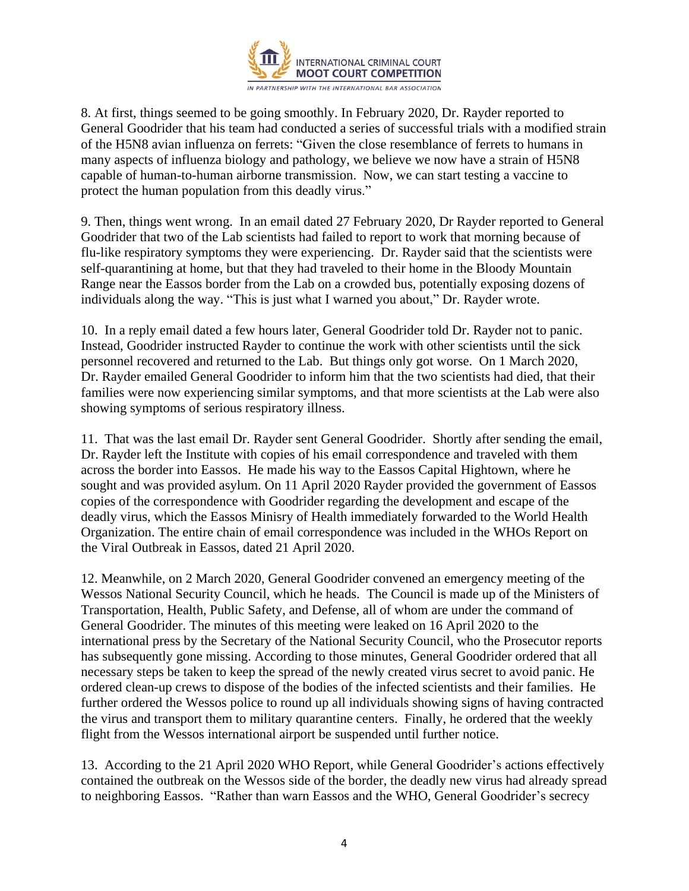

8. At first, things seemed to be going smoothly. In February 2020, Dr. Rayder reported to General Goodrider that his team had conducted a series of successful trials with a modified strain of the H5N8 avian influenza on ferrets: "Given the close resemblance of ferrets to humans in many aspects of influenza biology and pathology, we believe we now have a strain of H5N8 capable of human-to-human airborne transmission. Now, we can start testing a vaccine to protect the human population from this deadly virus."

9. Then, things went wrong. In an email dated 27 February 2020, Dr Rayder reported to General Goodrider that two of the Lab scientists had failed to report to work that morning because of flu-like respiratory symptoms they were experiencing. Dr. Rayder said that the scientists were self-quarantining at home, but that they had traveled to their home in the Bloody Mountain Range near the Eassos border from the Lab on a crowded bus, potentially exposing dozens of individuals along the way. "This is just what I warned you about," Dr. Rayder wrote.

10. In a reply email dated a few hours later, General Goodrider told Dr. Rayder not to panic. Instead, Goodrider instructed Rayder to continue the work with other scientists until the sick personnel recovered and returned to the Lab. But things only got worse. On 1 March 2020, Dr. Rayder emailed General Goodrider to inform him that the two scientists had died, that their families were now experiencing similar symptoms, and that more scientists at the Lab were also showing symptoms of serious respiratory illness.

11. That was the last email Dr. Rayder sent General Goodrider. Shortly after sending the email, Dr. Rayder left the Institute with copies of his email correspondence and traveled with them across the border into Eassos. He made his way to the Eassos Capital Hightown, where he sought and was provided asylum. On 11 April 2020 Rayder provided the government of Eassos copies of the correspondence with Goodrider regarding the development and escape of the deadly virus, which the Eassos Minisry of Health immediately forwarded to the World Health Organization. The entire chain of email correspondence was included in the WHOs Report on the Viral Outbreak in Eassos, dated 21 April 2020.

12. Meanwhile, on 2 March 2020, General Goodrider convened an emergency meeting of the Wessos National Security Council, which he heads. The Council is made up of the Ministers of Transportation, Health, Public Safety, and Defense, all of whom are under the command of General Goodrider. The minutes of this meeting were leaked on 16 April 2020 to the international press by the Secretary of the National Security Council, who the Prosecutor reports has subsequently gone missing. According to those minutes, General Goodrider ordered that all necessary steps be taken to keep the spread of the newly created virus secret to avoid panic. He ordered clean-up crews to dispose of the bodies of the infected scientists and their families. He further ordered the Wessos police to round up all individuals showing signs of having contracted the virus and transport them to military quarantine centers. Finally, he ordered that the weekly flight from the Wessos international airport be suspended until further notice.

13. According to the 21 April 2020 WHO Report, while General Goodrider's actions effectively contained the outbreak on the Wessos side of the border, the deadly new virus had already spread to neighboring Eassos. "Rather than warn Eassos and the WHO, General Goodrider's secrecy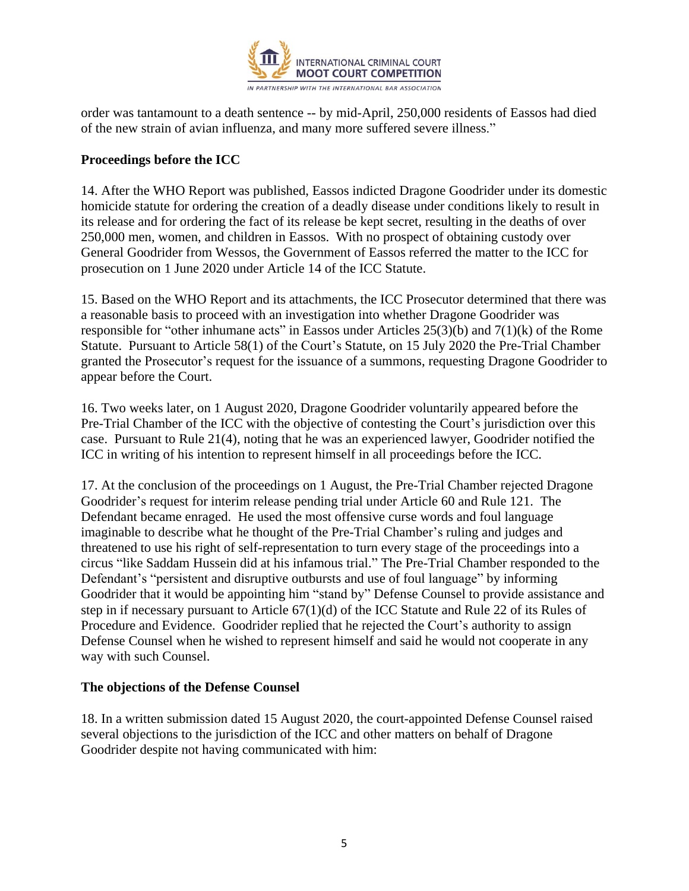

order was tantamount to a death sentence -- by mid-April, 250,000 residents of Eassos had died of the new strain of avian influenza, and many more suffered severe illness."

#### **Proceedings before the ICC**

14. After the WHO Report was published, Eassos indicted Dragone Goodrider under its domestic homicide statute for ordering the creation of a deadly disease under conditions likely to result in its release and for ordering the fact of its release be kept secret, resulting in the deaths of over 250,000 men, women, and children in Eassos. With no prospect of obtaining custody over General Goodrider from Wessos, the Government of Eassos referred the matter to the ICC for prosecution on 1 June 2020 under Article 14 of the ICC Statute.

15. Based on the WHO Report and its attachments, the ICC Prosecutor determined that there was a reasonable basis to proceed with an investigation into whether Dragone Goodrider was responsible for "other inhumane acts" in Eassos under Articles  $25(3)(b)$  and  $7(1)(k)$  of the Rome Statute. Pursuant to Article 58(1) of the Court's Statute, on 15 July 2020 the Pre-Trial Chamber granted the Prosecutor's request for the issuance of a summons, requesting Dragone Goodrider to appear before the Court.

16. Two weeks later, on 1 August 2020, Dragone Goodrider voluntarily appeared before the Pre-Trial Chamber of the ICC with the objective of contesting the Court's jurisdiction over this case. Pursuant to Rule 21(4), noting that he was an experienced lawyer, Goodrider notified the ICC in writing of his intention to represent himself in all proceedings before the ICC.

17. At the conclusion of the proceedings on 1 August, the Pre-Trial Chamber rejected Dragone Goodrider's request for interim release pending trial under Article 60 and Rule 121. The Defendant became enraged. He used the most offensive curse words and foul language imaginable to describe what he thought of the Pre-Trial Chamber's ruling and judges and threatened to use his right of self-representation to turn every stage of the proceedings into a circus "like Saddam Hussein did at his infamous trial." The Pre-Trial Chamber responded to the Defendant's "persistent and disruptive outbursts and use of foul language" by informing Goodrider that it would be appointing him "stand by" Defense Counsel to provide assistance and step in if necessary pursuant to Article 67(1)(d) of the ICC Statute and Rule 22 of its Rules of Procedure and Evidence. Goodrider replied that he rejected the Court's authority to assign Defense Counsel when he wished to represent himself and said he would not cooperate in any way with such Counsel.

#### **The objections of the Defense Counsel**

18. In a written submission dated 15 August 2020, the court-appointed Defense Counsel raised several objections to the jurisdiction of the ICC and other matters on behalf of Dragone Goodrider despite not having communicated with him: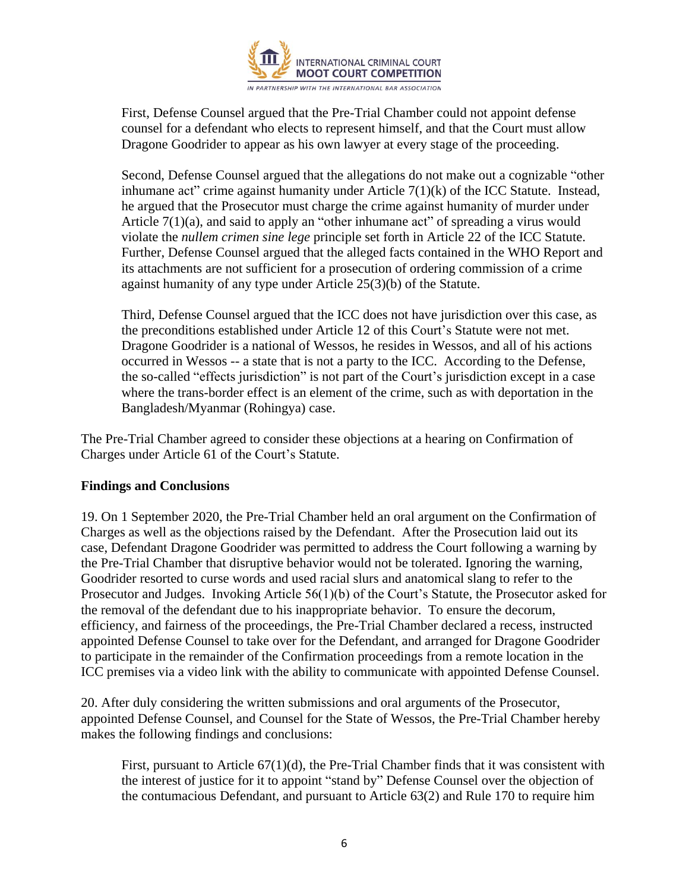

First, Defense Counsel argued that the Pre-Trial Chamber could not appoint defense counsel for a defendant who elects to represent himself, and that the Court must allow Dragone Goodrider to appear as his own lawyer at every stage of the proceeding.

Second, Defense Counsel argued that the allegations do not make out a cognizable "other inhumane act" crime against humanity under Article  $7(1)(k)$  of the ICC Statute. Instead, he argued that the Prosecutor must charge the crime against humanity of murder under Article  $7(1)(a)$ , and said to apply an "other inhumane act" of spreading a virus would violate the *nullem crimen sine lege* principle set forth in Article 22 of the ICC Statute. Further, Defense Counsel argued that the alleged facts contained in the WHO Report and its attachments are not sufficient for a prosecution of ordering commission of a crime against humanity of any type under Article 25(3)(b) of the Statute.

Third, Defense Counsel argued that the ICC does not have jurisdiction over this case, as the preconditions established under Article 12 of this Court's Statute were not met. Dragone Goodrider is a national of Wessos, he resides in Wessos, and all of his actions occurred in Wessos -- a state that is not a party to the ICC. According to the Defense, the so-called "effects jurisdiction" is not part of the Court's jurisdiction except in a case where the trans-border effect is an element of the crime, such as with deportation in the Bangladesh/Myanmar (Rohingya) case.

The Pre-Trial Chamber agreed to consider these objections at a hearing on Confirmation of Charges under Article 61 of the Court's Statute.

#### **Findings and Conclusions**

19. On 1 September 2020, the Pre-Trial Chamber held an oral argument on the Confirmation of Charges as well as the objections raised by the Defendant. After the Prosecution laid out its case, Defendant Dragone Goodrider was permitted to address the Court following a warning by the Pre-Trial Chamber that disruptive behavior would not be tolerated. Ignoring the warning, Goodrider resorted to curse words and used racial slurs and anatomical slang to refer to the Prosecutor and Judges. Invoking Article 56(1)(b) of the Court's Statute, the Prosecutor asked for the removal of the defendant due to his inappropriate behavior. To ensure the decorum, efficiency, and fairness of the proceedings, the Pre-Trial Chamber declared a recess, instructed appointed Defense Counsel to take over for the Defendant, and arranged for Dragone Goodrider to participate in the remainder of the Confirmation proceedings from a remote location in the ICC premises via a video link with the ability to communicate with appointed Defense Counsel.

20. After duly considering the written submissions and oral arguments of the Prosecutor, appointed Defense Counsel, and Counsel for the State of Wessos, the Pre-Trial Chamber hereby makes the following findings and conclusions:

First, pursuant to Article  $67(1)(d)$ , the Pre-Trial Chamber finds that it was consistent with the interest of justice for it to appoint "stand by" Defense Counsel over the objection of the contumacious Defendant, and pursuant to Article 63(2) and Rule 170 to require him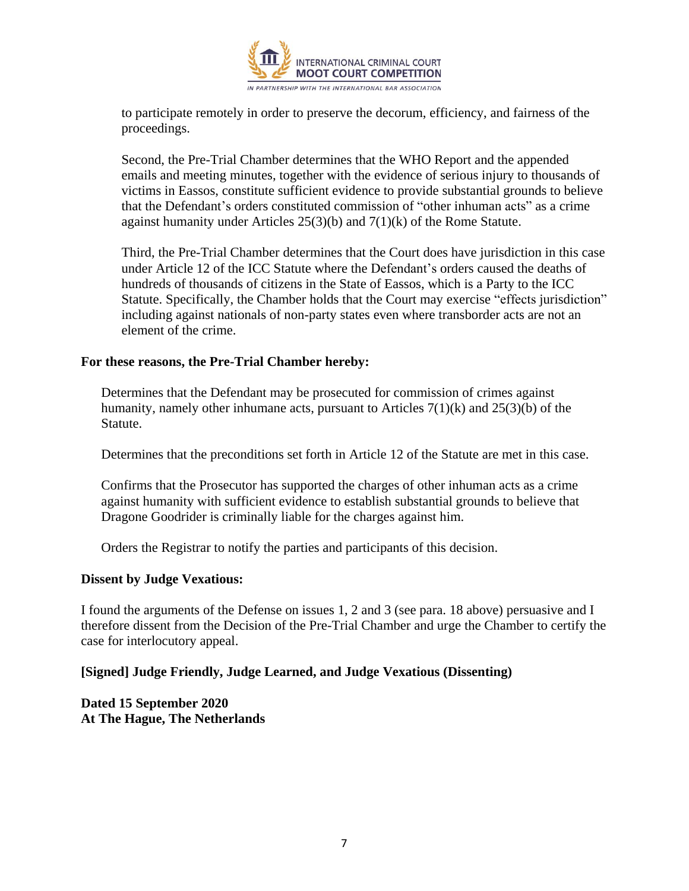

to participate remotely in order to preserve the decorum, efficiency, and fairness of the proceedings.

Second, the Pre-Trial Chamber determines that the WHO Report and the appended emails and meeting minutes, together with the evidence of serious injury to thousands of victims in Eassos, constitute sufficient evidence to provide substantial grounds to believe that the Defendant's orders constituted commission of "other inhuman acts" as a crime against humanity under Articles  $25(3)(b)$  and  $7(1)(k)$  of the Rome Statute.

Third, the Pre-Trial Chamber determines that the Court does have jurisdiction in this case under Article 12 of the ICC Statute where the Defendant's orders caused the deaths of hundreds of thousands of citizens in the State of Eassos, which is a Party to the ICC Statute. Specifically, the Chamber holds that the Court may exercise "effects jurisdiction" including against nationals of non-party states even where transborder acts are not an element of the crime.

#### **For these reasons, the Pre-Trial Chamber hereby:**

Determines that the Defendant may be prosecuted for commission of crimes against humanity, namely other inhumane acts, pursuant to Articles 7(1)(k) and 25(3)(b) of the Statute.

Determines that the preconditions set forth in Article 12 of the Statute are met in this case.

Confirms that the Prosecutor has supported the charges of other inhuman acts as a crime against humanity with sufficient evidence to establish substantial grounds to believe that Dragone Goodrider is criminally liable for the charges against him.

Orders the Registrar to notify the parties and participants of this decision.

#### **Dissent by Judge Vexatious:**

I found the arguments of the Defense on issues 1, 2 and 3 (see para. 18 above) persuasive and I therefore dissent from the Decision of the Pre-Trial Chamber and urge the Chamber to certify the case for interlocutory appeal.

#### **[Signed] Judge Friendly, Judge Learned, and Judge Vexatious (Dissenting)**

**Dated 15 September 2020 At The Hague, The Netherlands**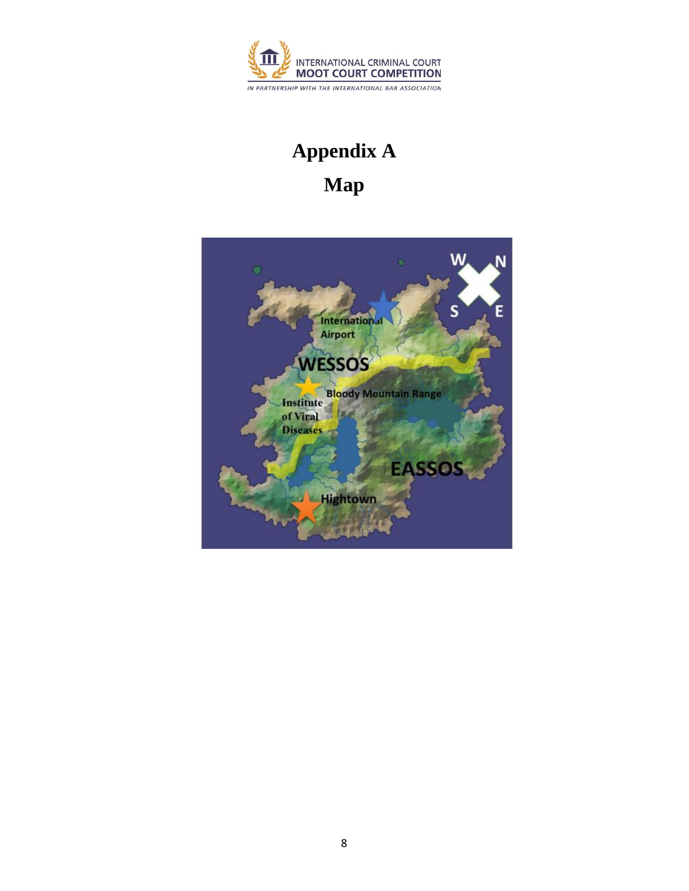

# **Appendix A Map**

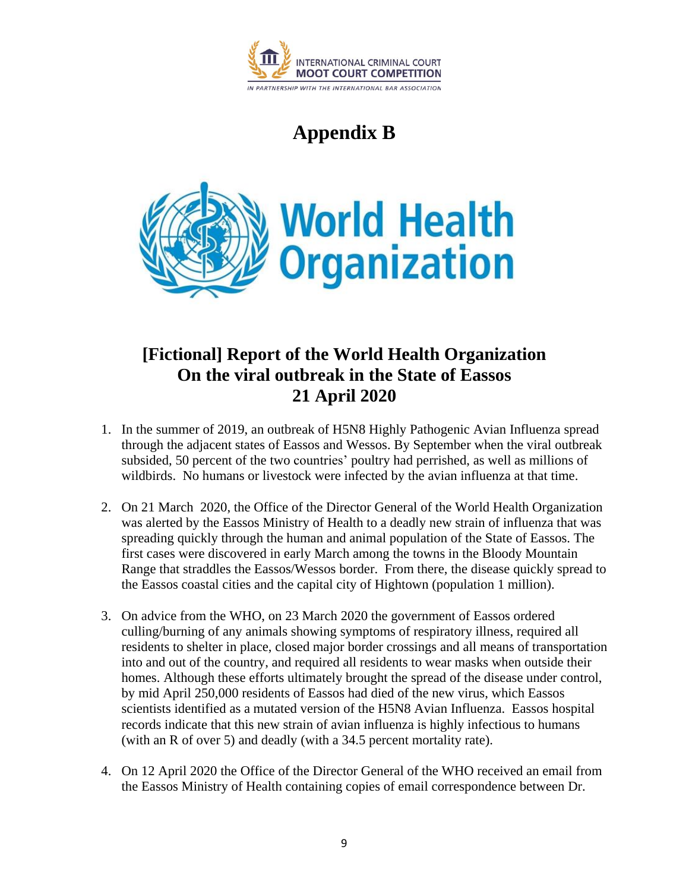

# **Appendix B**



# **[Fictional] Report of the World Health Organization On the viral outbreak in the State of Eassos 21 April 2020**

- 1. In the summer of 2019, an outbreak of H5N8 Highly Pathogenic Avian Influenza spread through the adjacent states of Eassos and Wessos. By September when the viral outbreak subsided, 50 percent of the two countries' poultry had perrished, as well as millions of wildbirds. No humans or livestock were infected by the avian influenza at that time.
- 2. On 21 March 2020, the Office of the Director General of the World Health Organization was alerted by the Eassos Ministry of Health to a deadly new strain of influenza that was spreading quickly through the human and animal population of the State of Eassos. The first cases were discovered in early March among the towns in the Bloody Mountain Range that straddles the Eassos/Wessos border. From there, the disease quickly spread to the Eassos coastal cities and the capital city of Hightown (population 1 million).
- 3. On advice from the WHO, on 23 March 2020 the government of Eassos ordered culling/burning of any animals showing symptoms of respiratory illness, required all residents to shelter in place, closed major border crossings and all means of transportation into and out of the country, and required all residents to wear masks when outside their homes. Although these efforts ultimately brought the spread of the disease under control, by mid April 250,000 residents of Eassos had died of the new virus, which Eassos scientists identified as a mutated version of the H5N8 Avian Influenza. Eassos hospital records indicate that this new strain of avian influenza is highly infectious to humans (with an R of over 5) and deadly (with a 34.5 percent mortality rate).
- 4. On 12 April 2020 the Office of the Director General of the WHO received an email from the Eassos Ministry of Health containing copies of email correspondence between Dr.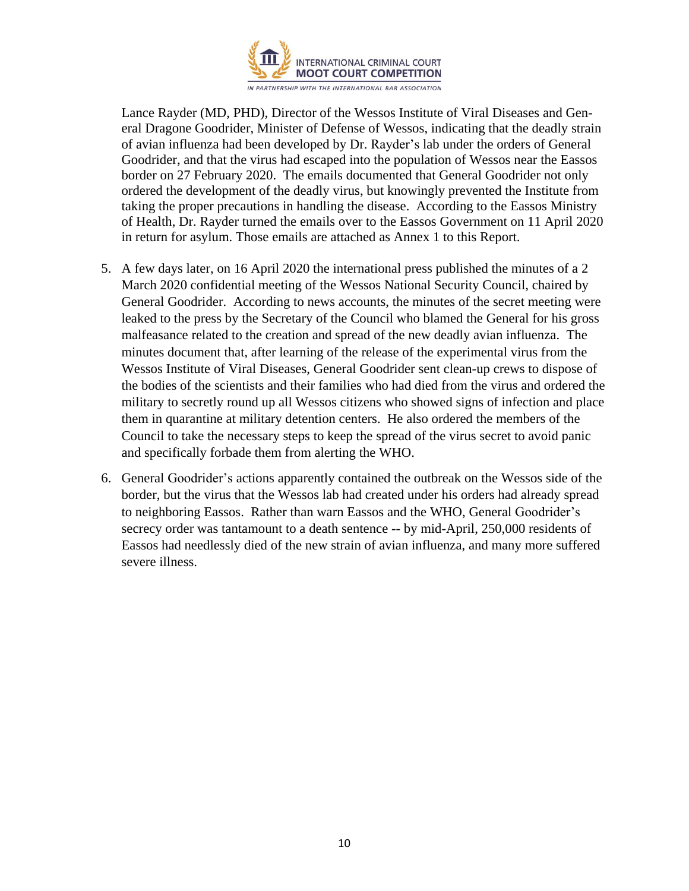

Lance Rayder (MD, PHD), Director of the Wessos Institute of Viral Diseases and General Dragone Goodrider, Minister of Defense of Wessos, indicating that the deadly strain of avian influenza had been developed by Dr. Rayder's lab under the orders of General Goodrider, and that the virus had escaped into the population of Wessos near the Eassos border on 27 February 2020. The emails documented that General Goodrider not only ordered the development of the deadly virus, but knowingly prevented the Institute from taking the proper precautions in handling the disease. According to the Eassos Ministry of Health, Dr. Rayder turned the emails over to the Eassos Government on 11 April 2020 in return for asylum. Those emails are attached as Annex 1 to this Report.

- 5. A few days later, on 16 April 2020 the international press published the minutes of a 2 March 2020 confidential meeting of the Wessos National Security Council, chaired by General Goodrider. According to news accounts, the minutes of the secret meeting were leaked to the press by the Secretary of the Council who blamed the General for his gross malfeasance related to the creation and spread of the new deadly avian influenza. The minutes document that, after learning of the release of the experimental virus from the Wessos Institute of Viral Diseases, General Goodrider sent clean-up crews to dispose of the bodies of the scientists and their families who had died from the virus and ordered the military to secretly round up all Wessos citizens who showed signs of infection and place them in quarantine at military detention centers. He also ordered the members of the Council to take the necessary steps to keep the spread of the virus secret to avoid panic and specifically forbade them from alerting the WHO.
- 6. General Goodrider's actions apparently contained the outbreak on the Wessos side of the border, but the virus that the Wessos lab had created under his orders had already spread to neighboring Eassos. Rather than warn Eassos and the WHO, General Goodrider's secrecy order was tantamount to a death sentence -- by mid-April, 250,000 residents of Eassos had needlessly died of the new strain of avian influenza, and many more suffered severe illness.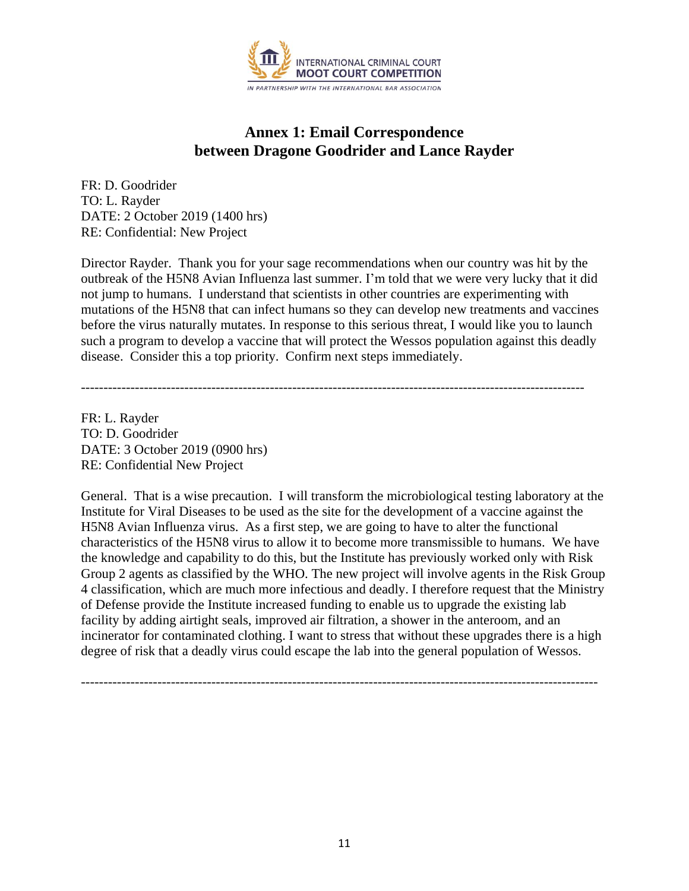

# **Annex 1: Email Correspondence between Dragone Goodrider and Lance Rayder**

FR: D. Goodrider TO: L. Rayder DATE: 2 October 2019 (1400 hrs) RE: Confidential: New Project

Director Rayder. Thank you for your sage recommendations when our country was hit by the outbreak of the H5N8 Avian Influenza last summer. I'm told that we were very lucky that it did not jump to humans. I understand that scientists in other countries are experimenting with mutations of the H5N8 that can infect humans so they can develop new treatments and vaccines before the virus naturally mutates. In response to this serious threat, I would like you to launch such a program to develop a vaccine that will protect the Wessos population against this deadly disease. Consider this a top priority. Confirm next steps immediately.

----------------------------------------------------------------------------------------------------------------

FR: L. Rayder TO: D. Goodrider DATE: 3 October 2019 (0900 hrs) RE: Confidential New Project

General. That is a wise precaution. I will transform the microbiological testing laboratory at the Institute for Viral Diseases to be used as the site for the development of a vaccine against the H5N8 Avian Influenza virus. As a first step, we are going to have to alter the functional characteristics of the H5N8 virus to allow it to become more transmissible to humans. We have the knowledge and capability to do this, but the Institute has previously worked only with Risk Group 2 agents as classified by the WHO. The new project will involve agents in the Risk Group 4 classification, which are much more infectious and deadly. I therefore request that the Ministry of Defense provide the Institute increased funding to enable us to upgrade the existing lab facility by adding airtight seals, improved air filtration, a shower in the anteroom, and an incinerator for contaminated clothing. I want to stress that without these upgrades there is a high degree of risk that a deadly virus could escape the lab into the general population of Wessos.

-------------------------------------------------------------------------------------------------------------------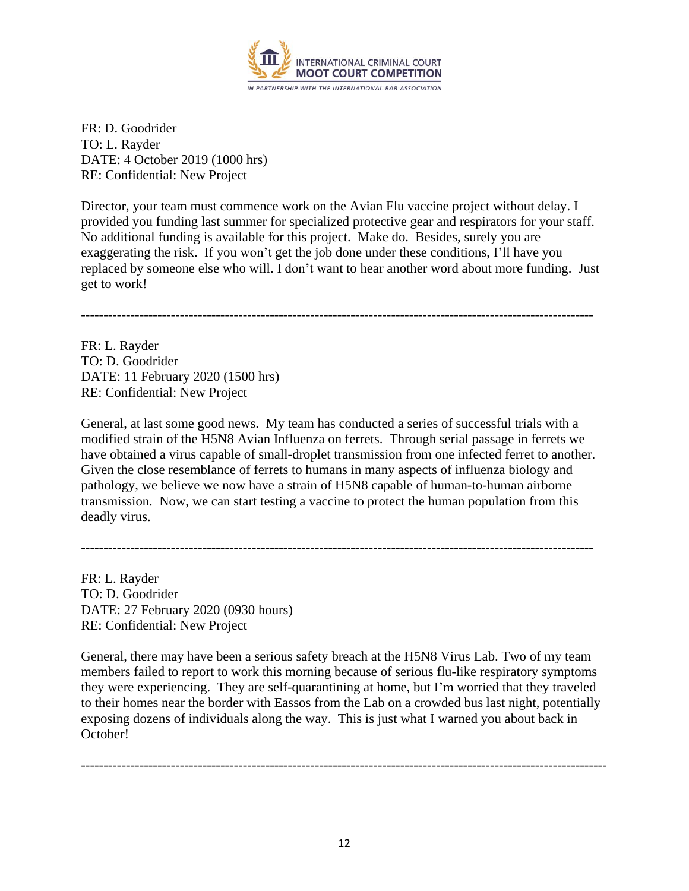

FR: D. Goodrider TO: L. Rayder DATE: 4 October 2019 (1000 hrs) RE: Confidential: New Project

Director, your team must commence work on the Avian Flu vaccine project without delay. I provided you funding last summer for specialized protective gear and respirators for your staff. No additional funding is available for this project. Make do. Besides, surely you are exaggerating the risk. If you won't get the job done under these conditions, I'll have you replaced by someone else who will. I don't want to hear another word about more funding. Just get to work!

------------------------------------------------------------------------------------------------------------------

FR: L. Rayder TO: D. Goodrider DATE: 11 February 2020 (1500 hrs) RE: Confidential: New Project

General, at last some good news. My team has conducted a series of successful trials with a modified strain of the H5N8 Avian Influenza on ferrets. Through serial passage in ferrets we have obtained a virus capable of small-droplet transmission from one infected ferret to another. Given the close resemblance of ferrets to humans in many aspects of influenza biology and pathology, we believe we now have a strain of H5N8 capable of human-to-human airborne transmission. Now, we can start testing a vaccine to protect the human population from this deadly virus.

------------------------------------------------------------------------------------------------------------------

FR: L. Rayder TO: D. Goodrider DATE: 27 February 2020 (0930 hours) RE: Confidential: New Project

General, there may have been a serious safety breach at the H5N8 Virus Lab. Two of my team members failed to report to work this morning because of serious flu-like respiratory symptoms they were experiencing. They are self-quarantining at home, but I'm worried that they traveled to their homes near the border with Eassos from the Lab on a crowded bus last night, potentially exposing dozens of individuals along the way. This is just what I warned you about back in October!

---------------------------------------------------------------------------------------------------------------------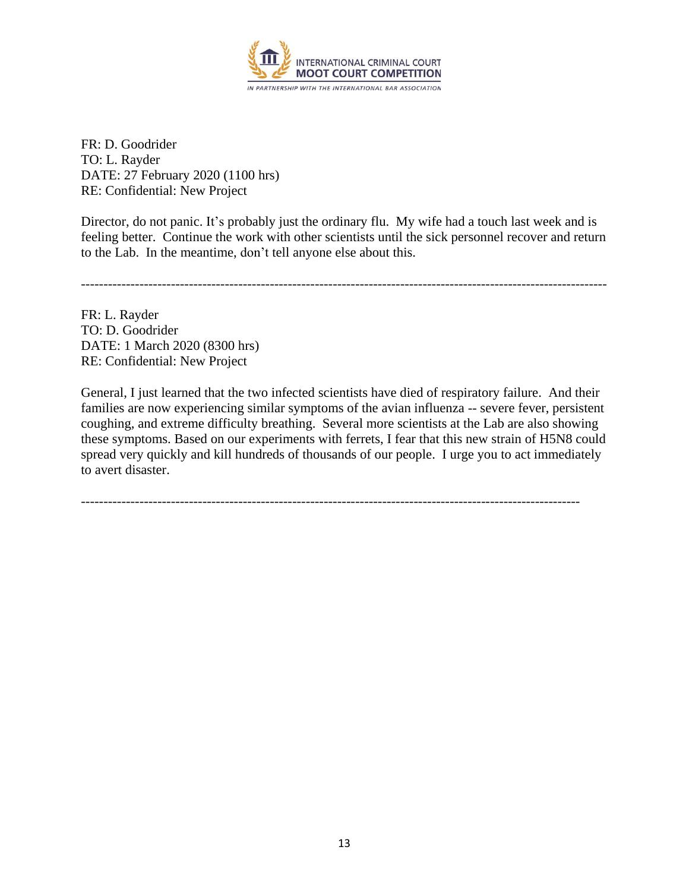

FR: D. Goodrider TO: L. Rayder DATE: 27 February 2020 (1100 hrs) RE: Confidential: New Project

Director, do not panic. It's probably just the ordinary flu. My wife had a touch last week and is feeling better. Continue the work with other scientists until the sick personnel recover and return to the Lab. In the meantime, don't tell anyone else about this.

---------------------------------------------------------------------------------------------------------------------

FR: L. Rayder TO: D. Goodrider DATE: 1 March 2020 (8300 hrs) RE: Confidential: New Project

General, I just learned that the two infected scientists have died of respiratory failure. And their families are now experiencing similar symptoms of the avian influenza -- severe fever, persistent coughing, and extreme difficulty breathing. Several more scientists at the Lab are also showing these symptoms. Based on our experiments with ferrets, I fear that this new strain of H5N8 could spread very quickly and kill hundreds of thousands of our people. I urge you to act immediately to avert disaster.

---------------------------------------------------------------------------------------------------------------